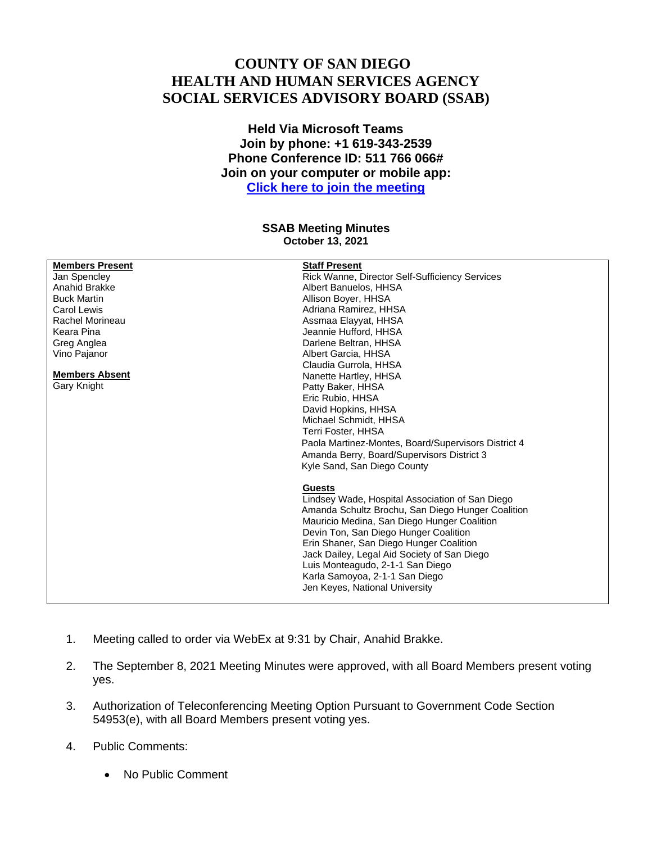## **COUNTY OF SAN DIEGO HEALTH AND HUMAN SERVICES AGENCY SOCIAL SERVICES ADVISORY BOARD (SSAB)**

**Held Via Microsoft Teams Join by phone: +1 619-343-2539 Phone Conference ID: 511 766 066# Join on your computer or mobile app: [Click here to join the meeting](https://teams.microsoft.com/l/meetup-join/19%3ameeting_ZWIyMmM5YzQtOGI2Mi00NmI0LTgyODMtOTJmNzJiMjVhMjBm%40thread.v2/0?context=%7b%22Tid%22%3a%224563af13-c029-41b3-b74c-965e8eec8f96%22%2c%22Oid%22%3a%2239a7bf66-6a88-4ff0-a899-61ea07a9b67c%22%7d)**

## **SSAB Meeting Minutes October 13, 2021**

| <b>Members Present</b><br>Jan Spencley<br>Anahid Brakke<br><b>Buck Martin</b><br>Carol Lewis<br>Rachel Morineau<br>Keara Pina<br>Greg Anglea<br>Vino Pajanor<br><b>Members Absent</b><br>Gary Knight | <b>Staff Present</b><br>Rick Wanne, Director Self-Sufficiency Services<br>Albert Banuelos, HHSA<br>Allison Boyer, HHSA<br>Adriana Ramirez, HHSA<br>Assmaa Elayyat, HHSA<br>Jeannie Hufford, HHSA<br>Darlene Beltran, HHSA<br>Albert Garcia, HHSA<br>Claudia Gurrola, HHSA<br>Nanette Hartley, HHSA<br>Patty Baker, HHSA<br>Eric Rubio, HHSA<br>David Hopkins, HHSA<br>Michael Schmidt, HHSA<br><b>Terri Foster, HHSA</b><br>Paola Martinez-Montes, Board/Supervisors District 4<br>Amanda Berry, Board/Supervisors District 3<br>Kyle Sand, San Diego County<br><b>Guests</b><br>Lindsey Wade, Hospital Association of San Diego<br>Amanda Schultz Brochu, San Diego Hunger Coalition<br>Mauricio Medina, San Diego Hunger Coalition<br>Devin Ton, San Diego Hunger Coalition<br>Erin Shaner, San Diego Hunger Coalition<br>Jack Dailey, Legal Aid Society of San Diego<br>Luis Monteagudo, 2-1-1 San Diego<br>Karla Samoyoa, 2-1-1 San Diego<br>Jen Keyes, National University |
|------------------------------------------------------------------------------------------------------------------------------------------------------------------------------------------------------|---------------------------------------------------------------------------------------------------------------------------------------------------------------------------------------------------------------------------------------------------------------------------------------------------------------------------------------------------------------------------------------------------------------------------------------------------------------------------------------------------------------------------------------------------------------------------------------------------------------------------------------------------------------------------------------------------------------------------------------------------------------------------------------------------------------------------------------------------------------------------------------------------------------------------------------------------------------------------------|
|                                                                                                                                                                                                      |                                                                                                                                                                                                                                                                                                                                                                                                                                                                                                                                                                                                                                                                                                                                                                                                                                                                                                                                                                                 |
|                                                                                                                                                                                                      |                                                                                                                                                                                                                                                                                                                                                                                                                                                                                                                                                                                                                                                                                                                                                                                                                                                                                                                                                                                 |

- 1. Meeting called to order via WebEx at 9:31 by Chair, Anahid Brakke.
- 2. The September 8, 2021 Meeting Minutes were approved, with all Board Members present voting yes.
- 3. Authorization of Teleconferencing Meeting Option Pursuant to Government Code Section 54953(e), with all Board Members present voting yes.
- 4. Public Comments:
	- No Public Comment